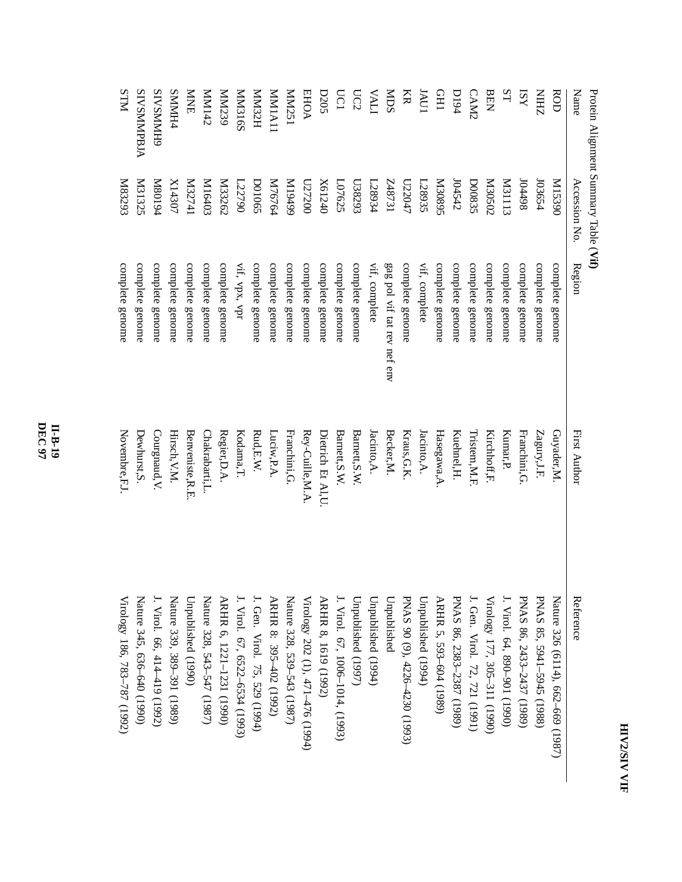| Ú |
|---|
| ï |
|   |
|   |
|   |
|   |
|   |

| $-222$       |
|--------------|
| i<br>I       |
|              |
| $-200 - 100$ |
|              |

| Name               | Accession No      | Region                      | First Author      | Reference                         |
|--------------------|-------------------|-----------------------------|-------------------|-----------------------------------|
| ROD                | 068SIM            | complete genome             | Guyader,M         | Nature 326 (6114), 662–669 (1987) |
| ZHIN               | 103654            | complete genome             | Zagury, J.F.      | PNAS 85, 5941-5945 (1988)         |
| ISY                | 104498            | complete genome             | Franchini, G      | PNAS 86, 2433-2437 (1989)         |
| ST                 | <b>M31113</b>     | complete genome             | Kumar,P           | J. Virol. 64, 890-901 (1990)      |
| BEN                | Z0S020            | complete genome             | Kirchhoff, F.     | Virology 177, 305-311 (1990)      |
| CAM2               | <b>D00835</b>     | complete genome             | Lristem, M.F      | J. Gen. Virol. 72, 721 (1991)     |
| <b>D194</b>        | 104542            | complete genome             | Kuehnel, H.       | PNAS 86, 2383-2387 (1989)         |
| <b>CHI</b>         | S680 <sub>8</sub> | complete genome             | Hasegawa, A       | ARHR 5, 593-604 (1989)            |
| INU                | L28935            | vif, complete               | $I$ acinto, $A$ . | Unpublished (1994)                |
| KR                 | L73047            | complete genome             | Kraus, G.K.       | PNAS 90 (9), 4226-4230 (1993)     |
| SOM                | LE78731           | gag pol vif tat rev nef env | Becker, M.        | Unpublished                       |
| ITVA               | 128934            | vif, complete               | Iacinto A.        | Unpublished (1994)                |
| $\overline{C2}$    | L38293            | complete genome             | Barnett, S.W.     | Unpublished (1997)                |
| <b>UCI</b>         | L07625            | complete genome             | Barnett, S.W.     | J. Virol. 67, 1006-1014, (1993)   |
| D205               | X61240            | complete genome             | Dietrich Et AI,U  | ARHR 8, 1619 (1992)               |
| <b>EHOA</b>        | 027200            | complete genome             | Rey-Cuille, M.A   | Virology 202 (1), 471-476 (1994)  |
| ISZNNN             | 66t61M            | complete genome             | Franchini, G.     | Nature 328, 539-543 (1987)        |
| <b>MMIA11</b>      | M76764            | complete genome             | Luciw, P.A.       | ARHR 8: 395-402 (1992)            |
| <b>HZENIN</b>      | <b>DO1065</b>     | complete genome             | Rad, E.W.         | J. Gen. Virol. 75, 529 (1994)     |
| <b>MM316S</b>      | L22790            | vif, vpx, vpr               | Kodama, T.        | J. Virol. 67, 6522-6534 (1993)    |
| MM239              | N33262            | complete genome             | Regier,D.A.       | ARHR 6, 1221-1231 (1990)          |
| Zt <sub>I</sub> MM | M16403            | complete genome             | Chakrabarti,L.    | Nature 328, 543-547 (1987)        |
| <b>NNE</b>         | I722741           | complete genome             | Benveniste, R.E   | Unpublished (1990)                |
| <b>SMMH4</b>       | $X14307$          | complete genome             | Hirsch, V.M.      | Nature 339, 389–391 (1989)        |
| <b>GHNNNSVIS</b>   | P6108M            | complete genome             | Courgnaud, V.     | J. Virol. 66, 414-419 (1992)      |
| <b>SIVSMMPBJA</b>  | <b>M31325</b>     | complete genome             | Dewhurst, S.      | Nature 345, 636–640 (1990)        |
| <b>NLLS</b>        | K83293            | complete genome             | Novembre,F.J      | Virology 186, 783–787 (1992)      |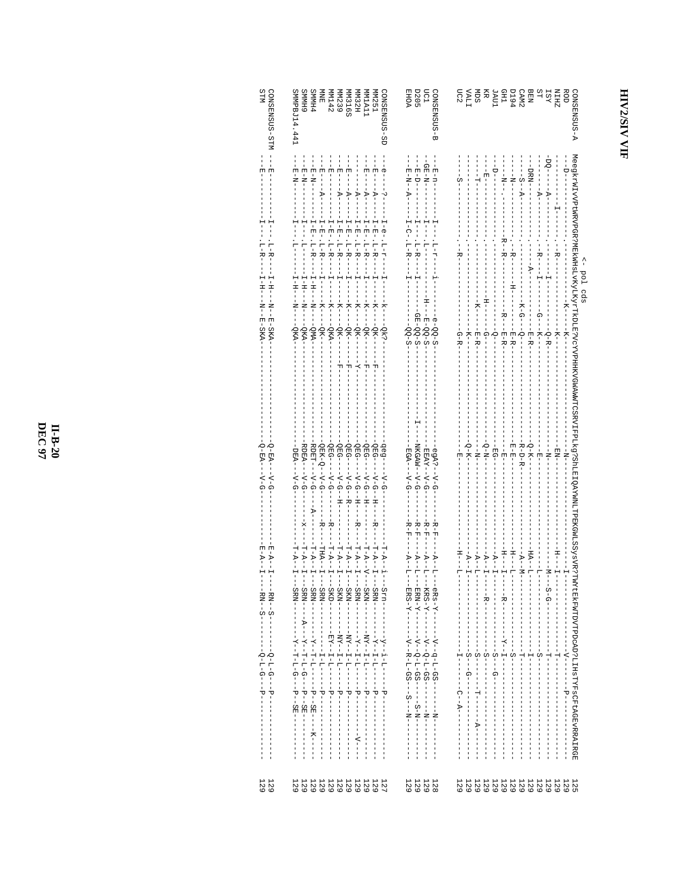## HIV2/SIV VIF

| <b>PHMMS</b><br>SMMPBJ14<br>CONSENSUS<br>6 HMMS<br>MM251<br>MM1A11<br>MM32H<br>MM316<br>MM142<br>MM12<br>MMB                                                                                                                                                                                                                                                                  | DC1<br>마이트<br>프랑<br>SUSENS<br>SHOC     | ROH<br>DIRIK KARA<br>DIRIK KARA<br>DIRIK KARA<br>DIRIK KARA<br><b>A-SUSMESMOS</b>                                                                                                                                                                                                                                                                                                                                                                                                                                                                                                                                                                                          |
|-------------------------------------------------------------------------------------------------------------------------------------------------------------------------------------------------------------------------------------------------------------------------------------------------------------------------------------------------------------------------------|----------------------------------------|----------------------------------------------------------------------------------------------------------------------------------------------------------------------------------------------------------------------------------------------------------------------------------------------------------------------------------------------------------------------------------------------------------------------------------------------------------------------------------------------------------------------------------------------------------------------------------------------------------------------------------------------------------------------------|
| $\begin{split} & 1 - 1 - 1 - 1 \\ & 1 - 1 - 1 \\ & 1 - 1 - 1 \\ & 1 - 1 - 1 \\ & 1 - 1 - 1 \\ & 1 - 1 - 1 \\ & 1 - 1 - 1 \\ & 1 - 1 - 1 \\ & 1 - 1 - 1 \\ & 1 - 1 - 1 \\ & 1 - 1 - 1 \\ & 1 - 1 - 1 \\ & 1 - 1 - 1 \\ & 1 - 1 - 1 \\ & 1 - 1 - 1 \\ & 1 - 1 - 1 \\ & 1 - 1 - 1 \\ & 1 - 1 - 1 \\ & 1 - 1 - 1 \\ & 1 - 1 - 1 \\ & 1 - 1 - 1 \\ & $<br>--- E-N-----<br>- E-N-1- | $-B-DI$                                | $-1$                                                                                                                                                                                                                                                                                                                                                                                                                                                                                                                                                                                                                                                                       |
|                                                                                                                                                                                                                                                                                                                                                                               |                                        | $\frac{1}{2} + \frac{1}{2} + \frac{1}{2} + \frac{1}{2} + \frac{1}{2} + \frac{1}{2} + \frac{1}{2} + \frac{1}{2} + \frac{1}{2} + \frac{1}{2} + \frac{1}{2} + \frac{1}{2} + \frac{1}{2} + \frac{1}{2} + \frac{1}{2} + \frac{1}{2} + \frac{1}{2} + \frac{1}{2} + \frac{1}{2} + \frac{1}{2} + \frac{1}{2} + \frac{1}{2} + \frac{1}{2} + \frac{1}{2} + \frac{1}{2} + \frac{1}{2} + \frac{1}{2} + \frac{1$<br>$. -R--$                                                                                                                                                                                                                                                            |
|                                                                                                                                                                                                                                                                                                                                                                               |                                        | $-7$<br>-9-R                                                                                                                                                                                                                                                                                                                                                                                                                                                                                                                                                                                                                                                               |
| .<br>병명 : 변명<br>! ! ! ! !                                                                                                                                                                                                                                                                                                                                                     |                                        |                                                                                                                                                                                                                                                                                                                                                                                                                                                                                                                                                                                                                                                                            |
| 3eg-----V-G-                                                                                                                                                                                                                                                                                                                                                                  |                                        | $- - BG - -$<br>$-6 - N - -$<br>$-1 - N - 1 -$<br>--HH<br>--<br>$-1$                                                                                                                                                                                                                                                                                                                                                                                                                                                                                                                                                                                                       |
| $-1 - 2 - -1 -$                                                                                                                                                                                                                                                                                                                                                               | - H H H<br>- H H H<br>- H H H<br>-R-F- | H------                                                                                                                                                                                                                                                                                                                                                                                                                                                                                                                                                                                                                                                                    |
|                                                                                                                                                                                                                                                                                                                                                                               |                                        | Megkrintring deb a- pol deb deben sid ocyvphikvowymychysamycha phisichis.<br>Megkrintring deben sid deben sid deben sid deben sid deben sid deben sid deben sid deben sid deb deben sid deb<br>$\begin{split} \frac{1}{2} \left( \frac{1}{2} \right) \left( \frac{1}{2} \right) \left( \frac{1}{2} \right) \left( \frac{1}{2} \right) \left( \frac{1}{2} \right) \left( \frac{1}{2} \right) \left( \frac{1}{2} \right) \left( \frac{1}{2} \right) \left( \frac{1}{2} \right) \left( \frac{1}{2} \right) \left( \frac{1}{2} \right) \left( \frac{1}{2} \right) \left( \frac{1}{2} \right) \left( \frac{1}{2} \right) \left( \frac{1}{2} \right) \left( \frac{1}{2} \right)$ |
| 11111111123<br>222222229<br>129                                                                                                                                                                                                                                                                                                                                               | 11229<br>2222                          | 129                                                                                                                                                                                                                                                                                                                                                                                                                                                                                                                                                                                                                                                                        |

 $1299$ <br>129

II-B-20<br>DEC 97